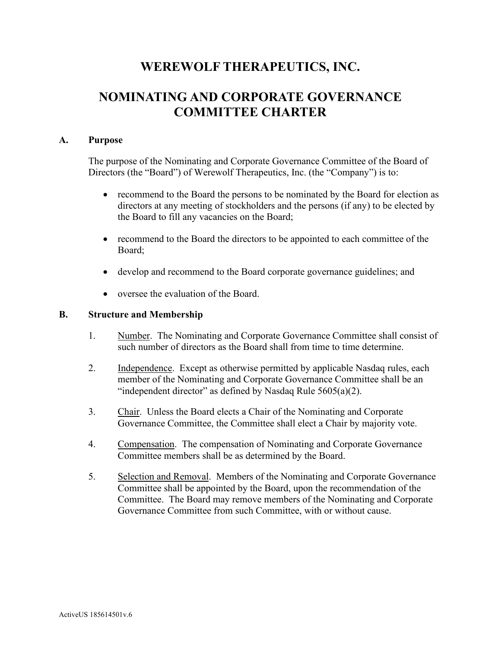## **WEREWOLF THERAPEUTICS, INC.**

# **NOMINATING AND CORPORATE GOVERNANCE COMMITTEE CHARTER**

#### **A. Purpose**

The purpose of the Nominating and Corporate Governance Committee of the Board of Directors (the "Board") of Werewolf Therapeutics, Inc. (the "Company") is to:

- recommend to the Board the persons to be nominated by the Board for election as directors at any meeting of stockholders and the persons (if any) to be elected by the Board to fill any vacancies on the Board;
- recommend to the Board the directors to be appointed to each committee of the Board;
- develop and recommend to the Board corporate governance guidelines; and
- oversee the evaluation of the Board.

#### **B. Structure and Membership**

- 1. Number. The Nominating and Corporate Governance Committee shall consist of such number of directors as the Board shall from time to time determine.
- 2. Independence. Except as otherwise permitted by applicable Nasdaq rules, each member of the Nominating and Corporate Governance Committee shall be an "independent director" as defined by Nasdaq Rule  $5605(a)(2)$ .
- 3. Chair. Unless the Board elects a Chair of the Nominating and Corporate Governance Committee, the Committee shall elect a Chair by majority vote.
- 4. Compensation. The compensation of Nominating and Corporate Governance Committee members shall be as determined by the Board.
- 5. Selection and Removal. Members of the Nominating and Corporate Governance Committee shall be appointed by the Board, upon the recommendation of the Committee. The Board may remove members of the Nominating and Corporate Governance Committee from such Committee, with or without cause.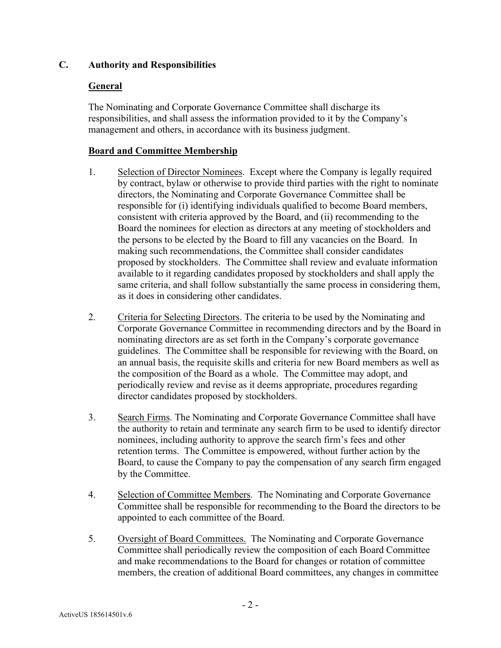### **C. Authority and Responsibilities**

## **General**

The Nominating and Corporate Governance Committee shall discharge its responsibilities, and shall assess the information provided to it by the Company's management and others, in accordance with its business judgment.

## **Board and Committee Membership**

- 1. Selection of Director Nominees. Except where the Company is legally required by contract, bylaw or otherwise to provide third parties with the right to nominate directors, the Nominating and Corporate Governance Committee shall be responsible for (i) identifying individuals qualified to become Board members, consistent with criteria approved by the Board, and (ii) recommending to the Board the nominees for election as directors at any meeting of stockholders and the persons to be elected by the Board to fill any vacancies on the Board. In making such recommendations, the Committee shall consider candidates proposed by stockholders. The Committee shall review and evaluate information available to it regarding candidates proposed by stockholders and shall apply the same criteria, and shall follow substantially the same process in considering them, as it does in considering other candidates.
- 2. Criteria for Selecting Directors. The criteria to be used by the Nominating and Corporate Governance Committee in recommending directors and by the Board in nominating directors are as set forth in the Company's corporate governance guidelines. The Committee shall be responsible for reviewing with the Board, on an annual basis, the requisite skills and criteria for new Board members as well as the composition of the Board as a whole. The Committee may adopt, and periodically review and revise as it deems appropriate, procedures regarding director candidates proposed by stockholders.
- 3. Search Firms. The Nominating and Corporate Governance Committee shall have the authority to retain and terminate any search firm to be used to identify director nominees, including authority to approve the search firm's fees and other retention terms. The Committee is empowered, without further action by the Board, to cause the Company to pay the compensation of any search firm engaged by the Committee.
- 4. Selection of Committee Members. The Nominating and Corporate Governance Committee shall be responsible for recommending to the Board the directors to be appointed to each committee of the Board.
- 5. Oversight of Board Committees. The Nominating and Corporate Governance Committee shall periodically review the composition of each Board Committee and make recommendations to the Board for changes or rotation of committee members, the creation of additional Board committees, any changes in committee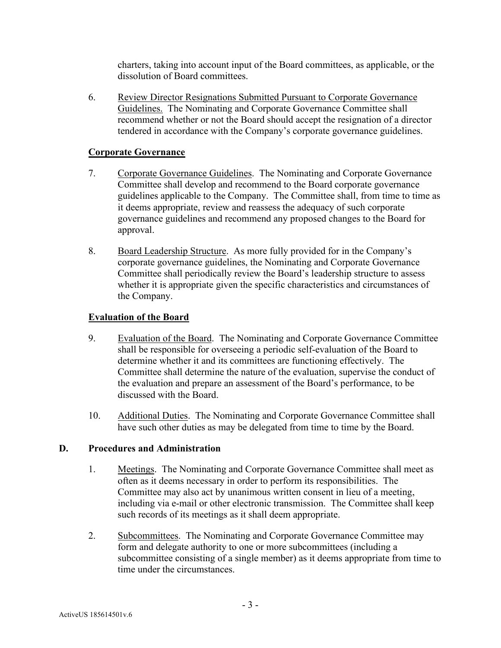charters, taking into account input of the Board committees, as applicable, or the dissolution of Board committees.

6. Review Director Resignations Submitted Pursuant to Corporate Governance Guidelines. The Nominating and Corporate Governance Committee shall recommend whether or not the Board should accept the resignation of a director tendered in accordance with the Company's corporate governance guidelines.

#### **Corporate Governance**

- 7. Corporate Governance Guidelines. The Nominating and Corporate Governance Committee shall develop and recommend to the Board corporate governance guidelines applicable to the Company. The Committee shall, from time to time as it deems appropriate, review and reassess the adequacy of such corporate governance guidelines and recommend any proposed changes to the Board for approval.
- 8. Board Leadership Structure. As more fully provided for in the Company's corporate governance guidelines, the Nominating and Corporate Governance Committee shall periodically review the Board's leadership structure to assess whether it is appropriate given the specific characteristics and circumstances of the Company.

### **Evaluation of the Board**

- 9. Evaluation of the Board. The Nominating and Corporate Governance Committee shall be responsible for overseeing a periodic self-evaluation of the Board to determine whether it and its committees are functioning effectively. The Committee shall determine the nature of the evaluation, supervise the conduct of the evaluation and prepare an assessment of the Board's performance, to be discussed with the Board.
- 10. Additional Duties. The Nominating and Corporate Governance Committee shall have such other duties as may be delegated from time to time by the Board.

#### **D. Procedures and Administration**

- 1. Meetings. The Nominating and Corporate Governance Committee shall meet as often as it deems necessary in order to perform its responsibilities. The Committee may also act by unanimous written consent in lieu of a meeting, including via e-mail or other electronic transmission. The Committee shall keep such records of its meetings as it shall deem appropriate.
- 2. Subcommittees. The Nominating and Corporate Governance Committee may form and delegate authority to one or more subcommittees (including a subcommittee consisting of a single member) as it deems appropriate from time to time under the circumstances.